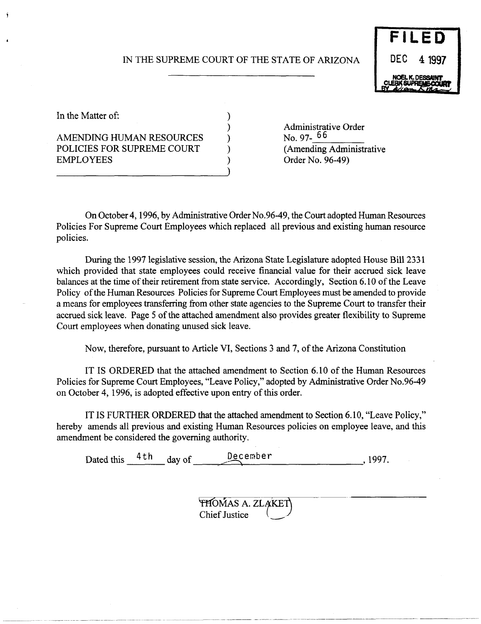# IN THE SUPREME COURT OF THE STATE OF ARIZONA

) ) ) ) ) )



In the Matter of:

# AMENDING HUMAN RESOURCES POLICIES FOR SUPREME COURT EMPLOYEES

Administrative Order No. 97- 66 (Amending Administrative Order No. 96-49)

On October 4, 1996, by Administrative Order No.96-49, the Court adopted Human Resources Policies For Supreme Court Employees which replaced all previous and existing human resource policies.

During the 1997 legislative session, the Arizona State Legislature adopted House Bill 2331 which provided that state employees could receive financial value for their accrued sick leave balances at the time of their retirement from state service. Accordingly, Section 6.10 of the Leave Policy of the Human Resources Policies for Supreme Court Employees must be amended to provide a means for employees transferring from other state agencies to the Supreme Court to transfer their accrued sick leave. Page 5 of the attached amendment also provides greater flexibility to Supreme Court employees when donating unused sick leave.

Now, therefore, pursuant to Article VI, Sections 3 and 7, of the Arizona Constitution

IT IS ORDERED that the attached amendment to Section 6.10 of the Human Resources Policies for Supreme Court Employees, "Leave Policy," adopted by Administrative Order No.96-49 on October 4, 1996, is adopted effective upon entry of this order.

IT IS FURTHER ORDERED that the attached amendment to Section 6.10, "Leave Policy," hereby amends all previous and existing Human Resources policies on employee leave, and this amendment be considered the governing authority.

Dated this  $4 \text{ th}$  day of December 1997.

**THOMAS A. ZLAKET** Chief Justice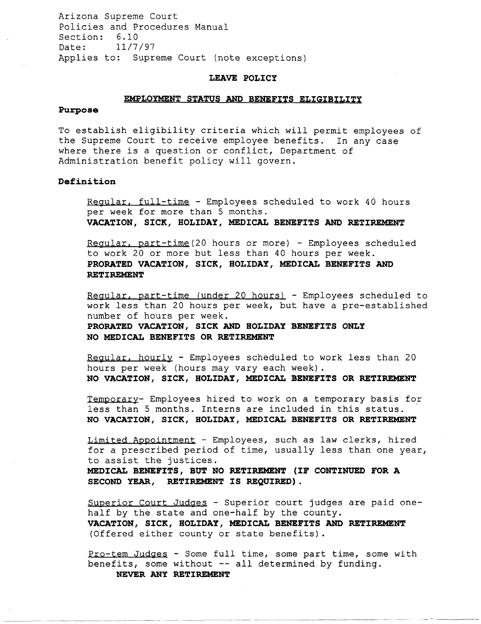Arizona Supreme Court Policies and Procedures Manual Section: 6.10 Date: 11/7/97 Applies to: Supreme Court (note exceptions)

## **LEAVE POLICY**

#### **EMPLOYMENT STATUS AND BENEFITS ELIGIBILITY**

#### **Purpose**

To establish eligibility criteria which will permit employees of the Supreme Court to receive employee benefits. In any case where there is a question or conflict, Department of Administration benefit policy will govern.

## **Definition**

Regular, full-time - Employees scheduled to work 40 hours per week for more than 5 months. **VACATION, SICK, HOLIDAY, MEDICAL BENEFITS AND RETIREMENT** 

Regular, part-time(20 hours or more) - Employees scheduled to work 20 or more but less than 40 hours per week. **PRORATED VACATION, SICK, HOLIDAY, MEDICAL BENEFITS AND RETIREMENT** 

Regular, part-time (under 20 hours) - Employees scheduled to work less than 20 hours per week, but have a pre-established number of hours per week. **PRORATED VACATION, SICK AND HOLIDAY BENEFITS ONLY NO MEDICAL BENEFITS OR RETIREMENT** 

Regular, hourly - Employees scheduled to work less than 20 hours per week (hours may vary each week) . **NO VACATION, SICK, HOLIDAY, MEDICAL BENEFITS OR RETIREMENT** 

Temporary- Employees hired to work on a temporary basis for less than 5 months. Interns are included in this status. . **NO VACATION, SICK, HOLIDAY, MEDICAL BENEFITS OR RETIREMENT** 

Limited Appointment - Employees, such as law clerks, hired for a prescribed period of time, usually less than one year, to assist the justices.

**MEDICAL BENEFITS, BUT NO RETIREMENT (IF CONTINUED FOR A SECOND YEAR, RETIREMENT IS REQUIRED) .** 

Superior Court Judges - Superior court judges are paid onehalf by the state and one-half by the county. **VACATION, SICK, HOLIDAY, MEDICAL BENEFITS AND RETIREMENT**  (Offered either county or state benefits) .

Pro-tem Judges - Some full time, some part time, some with benefits, some without **--** all determined by funding. **NEVER ANY RETIREMENT**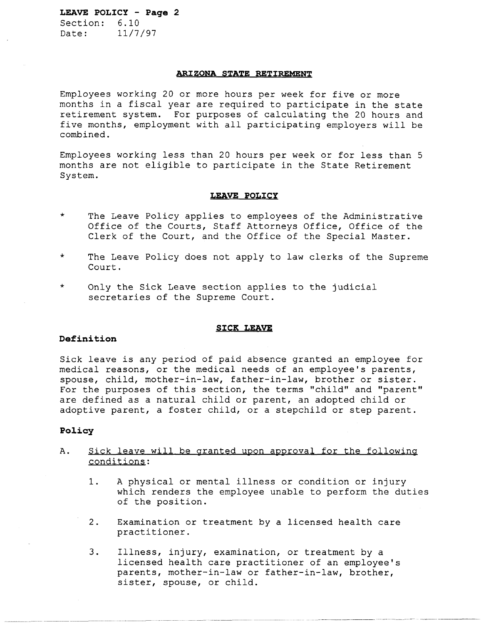Section: 6.10 Date: 11/7/97

### **ARIZONA STATE RETIREMENT**

Employees working 20 or more hours per week for five or more months in a fiscal year are required to participate in the state retirement system. For purposes of calculating the 20 hours and five months, employment with all participating employers will be combined.

Employees working less than 20 hours per week or for less than 5 months are not eligible to participate in the State Retirement System.

#### **LEAVE POLICY**

- \* The Leave Policy applies to employees of the Administrative Office of the Courts, Staff Attorneys Office, Office of the Clerk of the Court, and the Office of the Special Master.
- \* The Leave Policy does not apply to law clerks of the Supreme Court.
- \* Only the Sick Leave section applies to the judicial secretaries of the Supreme Court.

#### **SICK LEAVE**

## **Definition**

Sick leave is any period of paid absence granted an employee for medical reasons, or the medical needs of an employee's parents, spouse, child, mother-in-law, father-in-law, brother or sister. For the purposes of this section, the terms "child" and "parent" are defined as a natural child or parent, an adopted child or adoptive parent, a foster child, or a stepchild or step parent.

### **Policy**

- A. Sick leave will be granted upon approval for the following conditions:
	- 1. A physical or mental illness or condition or injury which renders the employee unable to perform the duties of the position.
	- 2. Examination or treatment by a licensed health care practitioner.
	- 3. Illness, injury, examination, or treatment by a licensed health care practitioner of an employee's parents, mother-in-law or father-in-law, brother, sister, spouse, or child.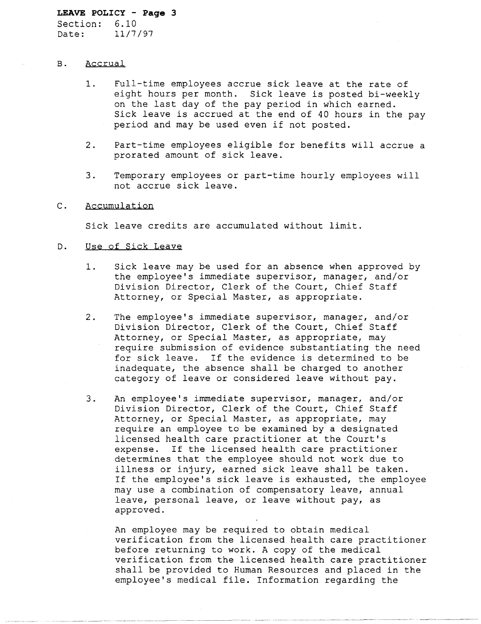Section: 6.10 Date: 11/7/97

## B. Accrual

- 1. Full-time employees accrue sick leave at the rate of eight hours per month. Sick leave is posted bi-weekly on the last day of the pay period in which earned. Sick leave is accrued at the end of 40 hours in the pay period and may be used even if not posted.
- 2. Part-time employees eligible for benefits will accrue a prorated amount of sick leave.
- 3. Temporary employees or part-time hourly employees will not accrue sick leave.

## C. Accumulation

Sick leave credits are accumulated without limit.

### D. Use of Sick Leave

- 1. Sick leave may be used for an absence when approved by the employee's immediate supervisor, manager, and/or Division Director, Clerk of the Court, Chief Staff Attorney, or Special Master, as appropriate.
- 2. The employee's immediate supervisor, manager, and/or Division Director, Clerk of the Court, Chief Staff Attorney, or Special Master, as appropriate, may require submission of evidence substantiating the need for sick leave. If the evidence is determined to be inadequate, the absence shall be charged to another category of leave or considered leave without pay.
- 3. An employee's immediate supervisor, manager, and/or Division Director, Clerk of the Court, Chief Staff Attorney, or Special Master, as appropriate, may require an employee to be examined by a designated licensed health care practitioner at the Court's expense. If the licensed health care practitioner determines that the employee should not work due to illness or injury, earned sick leave shall be taken. If the employee's sick leave is exhausted, the employee may use a combination of compensatory leave, annual leave, personal leave, or leave without pay, as approved.

An employee may be required to obtain medical verification from the licensed health care practitioner before returning to work. A copy of the medical verification from the licensed health care practitioner shall be provided to Human Resources and placed in the employee's medical file. Information regarding the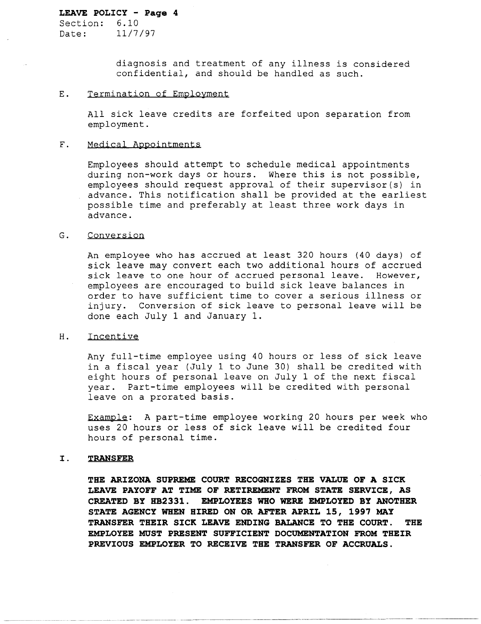Section: 6.10 Date: 11/7/97

> diagnosis and treatment of any illness is considered confidential, and should be handled as such.

## E. Termination of Employment

All sick leave credits are forfeited upon separation from employment.

## F. Medical Appointments

Employees should attempt to schedule medical appointments during non-work days or hours. Where this is not possible, employees should request approval of their supervisor(s) in advance. This notification shall be provided at the earliest possible time and preferably at least three work days in advance.

## G. Conversion

An employee who has accrued at least 320 hours (40 days) of sick leave may convert each two additional hours of accrued sick leave to one hour of accrued personal leave. However, employees are encouraged to build sick leave balances in order to have sufficient time to cover a serious illness or injury. Conversion of sick leave to personal leave will be done each July 1 and January 1.

## H. Incentive

Any full-time employee using 40 hours or less of sick leave in a fiscal year (July 1 to June 30) shall be credited with eight hours of personal leave on July 1 of the next fiscal year. Part-time employees will be credited with personal leave on a prorated basis.

Example: A part-time employee working 20 hours per week who uses 20 hours or less of sick leave will be credited four hours of personal time.

## **I. TRANSFER**

**THE ARIZONA SUPREME COURT RECOGNIZES THE VALUE OF A SICK LEAVE PAYOFF AT TIME OF RETIREMENT FROM STATE SERVICE, AS CREATED BY HB2331. EMPLOYEES WHO WERE EMPLOYED BY ANOTHER STATE AGENCY WHEN HIRED ON OR AFTER APRIL 15, 1997 MAY TRANSFER THEIR SICK LEAVE ENDING BALANCE TO THE COURT. THE EMPLOYEE MUST PRESENT SUFFICIENT DOCUMENTATION FROM THEIR PREVIOUS EMPLOYER TO RECEIVE THE TRANSFER OF ACCRUALS.**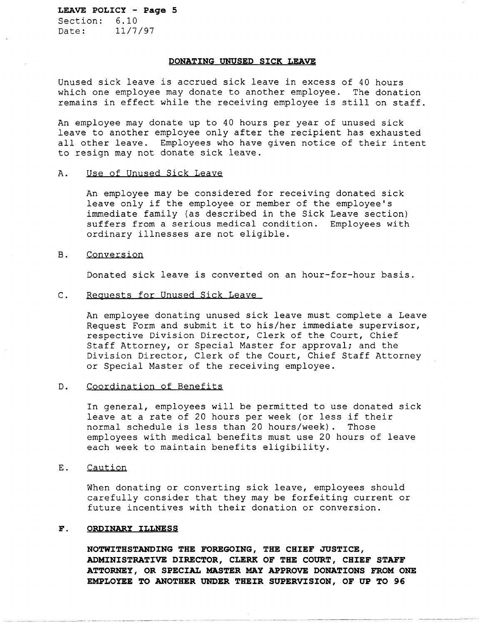Section: 6.10 Date: 11/7/97

### **DONATING UNUSED SICK LEAVE**

Unused sick leave is accrued sick leave in excess of 40 hours which one employee may donate to another employee. The donation remains in effect while the receiving employee is still on staff.

An employee may donate up to 40 hours per year of unused sick leave to another employee only after the recipient has exhausted all other leave. Employees who have given notice of their intent to resign may not donate sick leave.

### A. Use of Unused Sick Leave

An employee may be considered for receiving donated sick leave only if the employee or member of the employee's immediate family (as described in the Sick Leave section) suffers from a serious medical condition. Employees with ordinary illnesses are not eligible.

#### B. Conversion

Donated sick leave is converted on an hour-for-hour basis.

## C. Requests for Unused Sick Leave

An employee donating unused sick leave must complete a Leave Request Form and submit it to his/her immediate supervisor, respective Division Director, Clerk of the Court, Chief Staff Attorney, or Special Master for approval; and the Division Director, Clerk of the Court, Chief Staff Attorney or Special Master of the receiving employee.

### D. Coordination of Benefits

In general, employees will be permitted to use donated sick leave at a rate of 20 hours per week (or less if their normal schedule is less than 20 hours/week). Those employees with medical benefits must use 20 hours of leave each week to maintain benefits eligibility.

## E. Caution

When donating or converting sick leave, employees should carefully consider that they may be forfeiting current or future incentives with their donation or conversion.

## F. **ORDINARY ILLNESS**

**NOTWITHSTANDING THE FOREGOING, THE CHIEF JUSTICE, ADMINISTRATIVE DIRECTOR, CLERK OF THE COURT, CHIEF STAFF ATTORNEY, OR SPECIAL MASTER MAY APPROVE DONATIONS FROM ONE EMPLOYEE TO ANOTHER UNDER THEIR SUPERVISION, OF UP TO 96**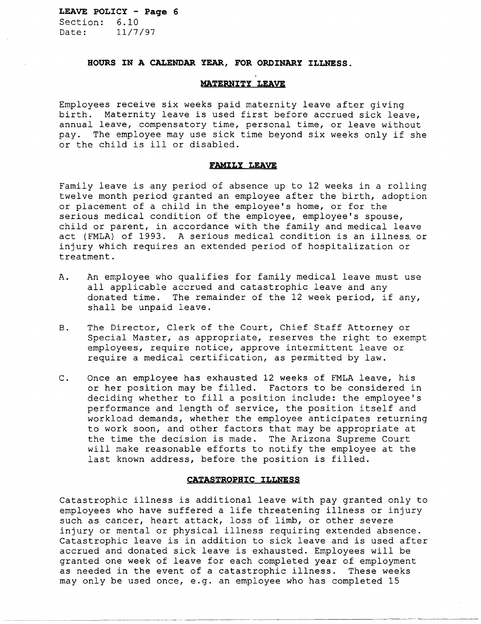**LEAVE POLICY - Page 6**  Section:  $6.10$ <br>Date:  $11/7$ Date: 11/7/97

### **HOURS IN A CALENDAR YEAR, FOR ORDINARY ILLNESS.**

## **MATERNITY LEAVE**

Employees receive six weeks paid maternity leave after giving birth. Maternity leave is used first before accrued sick leave, annual leave, compensatory time, personal time, or leave without pay. The employee may use sick time beyond six weeks only if she or the child is ill or disabled.

### **FAMILY LEAVE**

Family leave is any period of absence up to 12 weeks in a rolling twelve month period granted an employee after the birth, adoption or placement of a child in the employee's home, or for the serious medical condition of the employee, employee's spouse, child or parent, in accordance with the family and medical leave act (FMLA) of 1993. A serious medical condition is an illness. or injury which requires an extended period of hospitalization or treatment.

- A. An employee who qualifies for family medical leave must use all applicable accrued and catastrophic leave and any donated time. The remainder of the 12 week period, if any, shall be unpaid leave.
- B. The Director, Clerk of the Court, Chief Staff Attorney or Special Master, as appropriate, reserves the right to exempt employees, require notice, approve intermittent leave or require a medical certification, as permitted by law.
- C. Once an employee has exhausted 12 weeks of FMLA leave, his or her position may be filled. Factors to be considered in deciding whether to fill a position include: the employee's performance and length of service, the position itself and workload demands, whether the employee anticipates returning to work soon, and other factors that may be appropriate at the time the decision is made. The Arizona Supreme Court will make reasonable efforts to notify the employee at the last known address, before the position is filled.

## **CATASTROPHIC ILLNESS**

Catastrophic illness is additional leave with pay granted only to employees who have suffered a life threatening illness or injury such as cancer, heart attack, loss of limb, or other severe injury or mental or physical illness requiring extended absence. Catastrophic leave is in addition to sick leave and is used after accrued and donated sick leave is exhausted. Employees will be granted one week of leave for each completed year of employment as needed in the event of a catastrophic illness. These weeks may only be used once, e.g. an employee who has completed 15

---~-----~-- --~------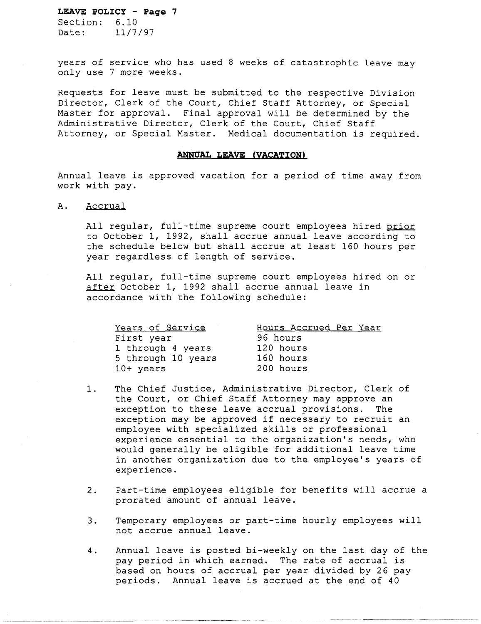Section:  $6.10$ <br>Date:  $11/7$ Date: 11/7/97

years of service who has used 8 weeks of catastrophic leave may only use 7 more weeks.

Requests for leave must be submitted to the respective Division Director, Clerk of the Court, Chief Staff Attorney, or Special Master for approval. Final approval will be determined by the Administrative Director, Clerk of the Court, Chief Staff Attorney, or Special Master. Medical documentation is required.

### **ANNUAL LEAVE (VACATION)**

Annual leave is approved vacation for a period of time away from work with pay.

A. Accrual

All regular, full-time supreme court employees hired prior to October 1, 1992, shall accrue annual leave according to the schedule below but shall accrue at least 160 hours per year regardless of length of service.

All regular, full-time supreme court employees hired on or after October 1, 1992 shall accrue annual leave in accordance with the following schedule:

| Years of Service   | Hours Accrued Per Year |
|--------------------|------------------------|
| First year         | 96 hours               |
| 1 through 4 years  | 120 hours              |
| 5 through 10 years | 160 hours              |
| 10+ years          | 200 hours              |

- 1. The Chief Justice, Administrative Director, Clerk of the Court, or Chief Staff Attorney may approve an exception to these leave accrual provisions. The exception may be approved if necessary to recruit an employee with specialized skills or professional experience essential to the organization's needs, who would generally be eligible for additional leave time in another organization due to the employee's years of experience.
- 2. Part-time employees eligible for benefits will accrue a prorated amount of annual leave.
- 3. Temporary employees or part-time hourly employees will not accrue annual leave.
- 4. Annual leave is posted bi-weekly on the last day of the pay period in which earned. The rate of accrual is based on hours of accrual per year divided by 26 pay periods. Annual leave is accrued at the end of 40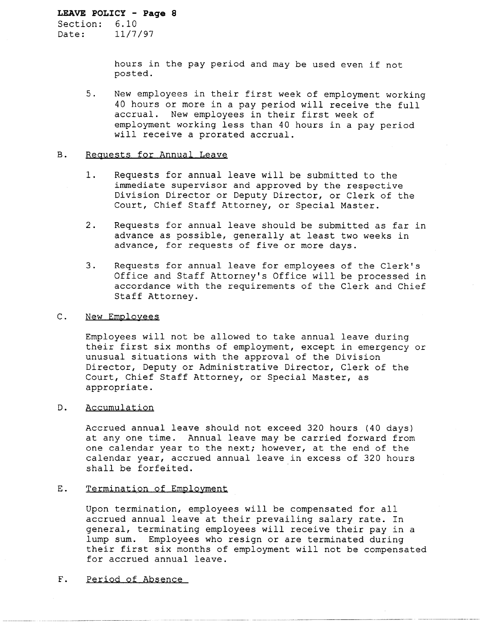Section: 6.10 Date: 11/7/97

> hours in the pay period and may be used even if not posted.

5. New employees in their first week of employment working 40 hours or more in a pay period will receive the full accrual. New employees in their first week of employment working less than 40 hours in a pay period will receive a prorated accrual.

### B. Reguests for Annual Leave

- 1. Requests for annual leave will be submitted to the immediate supervisor and approved by the respective Division Director or Deputy Director, or Clerk of the Court, Chief Staff Attorney, or Special Master.
- 2. Requests for annual leave should be submitted as far in advance as possible, generally at least two weeks in advance, for requests of five or more days.
- 3. Requests for annual leave for employees of the Clerk's Office and Staff Attorney's Office will be processed in accordance with the requirements of the Clerk and Chief Staff Attorney.

## C. New Employees

Employees will not be allowed to take annual leave during their first six months of employment, except in emergency or unusual situations with the approval of the Division Director, Deputy or Administrative Director, Clerk of the Court, Chief Staff Attorney, or Special Master, as appropriate.

## D. Accumulation

Accrued annual leave should not exceed 320 hours (40 days) at anyone time. Annual leave may be carried forward from one calendar year to the next; however, at the end of the calendar year, accrued annual leave in excess of 320 hours shall be forfeited.

## E. Termination of Employment

Upon termination, employees will be compensated for all accrued annual leave at their prevailing salary rate. In general, terminating employees will receive their pay in a lump sum. Employees who resign or are terminated during their first six months of employment will not be compensated for accrued annual leave.

---~~ ------ ~--- ~--- -~--------~- ----~

F. Period of Absence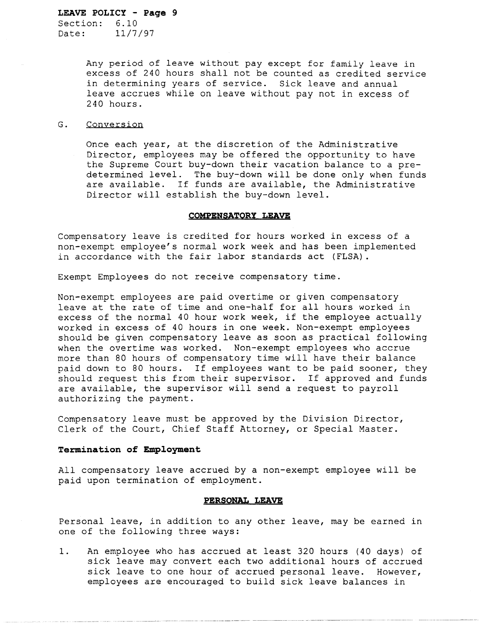Section: 6.10 Date: 11/7/97

> Any period of leave without pay except for family leave in excess of 240 hours shall not be counted as credited service in determining years of service. Sick leave and annual leave accrues while on leave without pay not in excess of 240 hours.

#### G. Conversion

Once each year, at the discretion of the Administrative Director, employees may be offered the opportunity to have the Supreme Court buy-down their vacation balance to a predetermined level. The buy-down will be done only when funds are available. If funds are available, the Administrative Director will establish the buy-down level.

#### **COMPENSATORY LEAVE**

Compensatory leave is credited for hours worked in excess of a non-exempt employee's normal work week and has been implemented in accordance with the fair labor standards act (FLSA).

Exempt Employees do not receive compensatory time.

Non-exempt employees are paid overtime or given compensatory leave at the rate of time and one-half for all hours worked in excess of the normal 40 hour work week, if the employee actually worked in excess of 40 hours in one week. Non-exempt employees should be given compensatory leave as soon as practical following when the overtime was worked. Non-exempt employees who accrue more than 80 hours of compensatory time will have their balance paid down to 80 hours. If employees want to be paid sooner, they should request this from their supervisor. If approved and funds are available, the supervisor will send a request to payroll authorizing the payment.

Compensatory leave must be approved by the Division Director, Clerk of the Court, Chief Staff Attorney, or Special Master.

#### **Termination of Employment**

All compensatory leave accrued by a non-exempt employee will be paid upon termination of employment.

#### **PERSONAL LEAVE**

Personal leave, in addition to any other leave, may be earned in one of the following three ways:

1. An employee who has accrued at least 320 hours (40 days) of sick leave may convert each two additional hours of accrued sick leave to one hour of accrued personal leave. However, employees are encouraged to build sick leave balances in

------------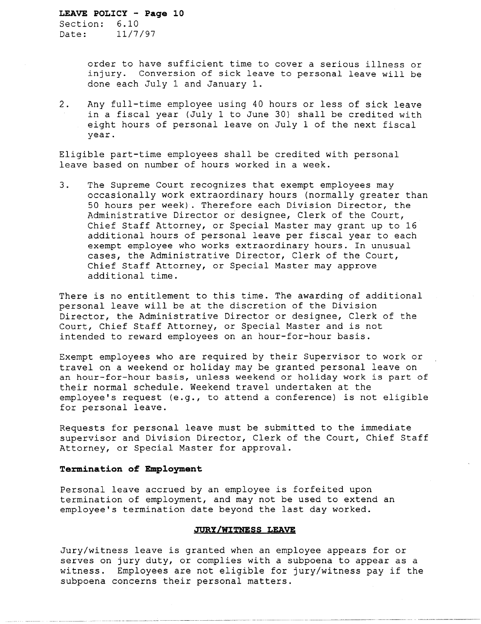Section: 6.10 Date: 11/7/97

> order to have sufficient time to cover a serious illness or injury. Conversion of sick leave to personal leave will be done each July 1 and January 1.

2. Any full-time employee using 40 hours or less of sick leave in a fiscal year (July 1 to June 30) shall be credited with eight hours of personal leave on July 1 of the next fiscal year.

Eligible part-time employees shall be credited with personal leave based on number of hours worked in a week.

3. The Supreme Court recognizes that exempt employees may occasionally work extraordinary hours (normally greater than 50 hours per week). Therefore each Division Director, the Administrative Director or designee, Clerk of the Court, Chief Staff Attorney, or Special Master may grant up to 16 additional hours of personal leave per fiscal year to each exempt employee who works extraordinary hours. In unusual cases, the Administrative Director, Clerk of the Court, Chief Staff Attorney, or Special Master may approve additional time.

There is no entitlement to this time. The awarding of additional personal leave will be at the discretion of the Division Director, the Administrative Director or designee, Clerk of the Court, Chief Staff Attorney, or Special Master and is not intended to reward employees on an hour-for-hour basis.

Exempt employees who are required by their Supervisor to work or travel on a weekend or holiday may be granted personal leave on an hour-for-hour basis, unless weekend or holiday work is part of their normal schedule. Weekend travel undertaken at the employee's request (e.g., to attend a conference) is not eligible for personal leave.

Requests for personal leave must be submitted to the immediate supervisor and Division Director, Clerk of the Court, Chief Staff Attorney, or Special Master for approval.

## **Termination of Employment**

Personal leave accrued by an employee is forfeited upon termination of employment, and may not be used to extend an employee's termination date beyond the last day worked.

### **JURY/WITNESS LEAVE**

Jury/witness leave is granted when an employee appears for or serves on jury duty, or complies with a subpoena to appear as a witness. Employees are not eligible for jury/witness pay if the subpoena concerns their personal matters.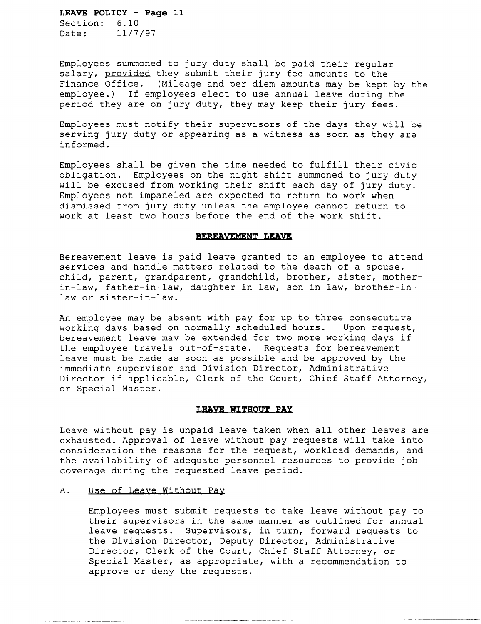Section: 6.10 Date: 11/7/97

Employees summoned to jury duty shall be paid their regular salary, provided they submit their jury fee amounts to the Finance Office. (Mileage and per diem amounts may be kept by the employee.) If employees elect to use annual leave during the period they are on jury duty, they may keep their jury fees.

Employees must notify their supervisors of the days they will be serving jury duty or appearing as a witness as soon as they are informed.

Employees shall be given the time needed to fulfill their civic obligation. Employees on the night shift summoned to jury duty will be excused from working their shift each day of jury duty. Employees not impaneled are expected to return to work when dismissed from jury duty unless the employee cannot return to work at least two hours before the end of the work shift.

#### **BEREAVEMENT LEAVE**

Bereavement leave is paid leave granted to an employee to attend services and handle matters related to the death of a spouse, child, parent, grandparent, grandchild, brother, sister, motherin-law, father-in-law, daughter-in-law, son-in-law, brother-inlaw or sister-in-law.

An employee may be absent with pay for up to three consecutive working days based on normally scheduled hours. Upon request, bereavement leave may be extended for two more working days if the employee travels out-of-state. Requests for bereavement leave must be made as soon as possible and be approved by the immediate supervisor and Division Director, Administrative Director if applicable, Clerk of the Court, Chief Staff Attorney, or Special Master.

#### **LEAVE WITHOUT PAY**

Leave without pay is unpaid leave taken when all other leaves are exhausted. Approval of leave without pay requests will take into consideration the reasons for the request, workload demands, and the availability of adequate personnel resources to provide job coverage during the requested leave period.

### A. Use of Leave Without Pay

Employees must submit requests to take leave without pay to their supervisors in the same manner as outlined for annual leave requests. Supervisors, in turn, forward requests to the Division Director, Deputy Director, Administrative Director, Clerk of the Court, Chief Staff Attorney, or Special Master, as appropriate, with a recommendation to approve or deny the requests.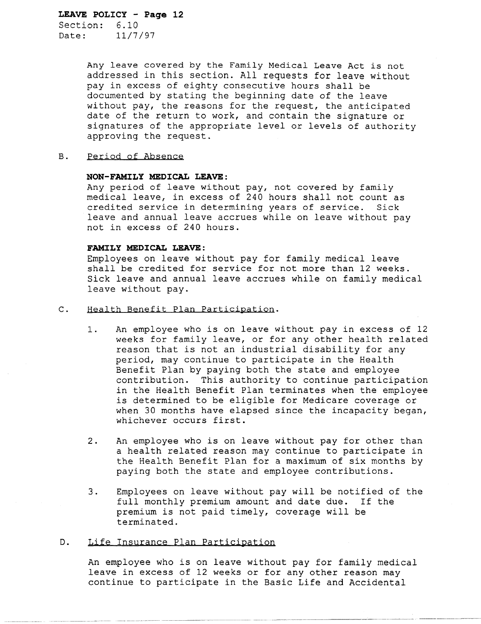Section: 6.10 Date: 11/7/97

> Any leave covered by the Family Medical Leave Act is not addressed in this section. All requests for leave without pay in excess of eighty consecutive hours shall be documented by stating the beginning date of the leave without pay, the reasons for the request, the anticipated date of the return to work, and contain the signature or signatures of the appropriate level or levels of authority approving the request.

### B. Period of Absence

#### **NON-FAMILY MEDICAL LEAVE:**

Any period of leave without pay, not covered by family medical leave, in excess of 240 hours shall not count as credited service in determining years of service. Sick leave and annual leave accrues while on leave without pay not in excess of 240 hours.

## **FAMILY MEDICAL LEAVE:**

Employees on leave without pay for family medical leave shall be credited for service for not more than 12 weeks. Sick leave and annual leave accrues while on family medical leave without pay.

- c. Health Benefit Plan Participation.
	- 1. An employee who is on leave without pay in excess of 12 weeks for family leave, or for any other health related reason that is not an industrial disability for any period, may continue to participate in the Health Benefit Plan by paying both the state and employee contribution. This authority to continue participation in the Health Benefit Plan terminates when the employee is determined to be eligible for Medicare coverage or when 30 months have elapsed since the incapacity began, whichever occurs first.
	- 2. An employee who is on leave without pay for other than a health related reason may continue to participate in the Health Benefit Plan for a maximum of six months by paying both the state and employee contributions.
	- 3. Employees on leave without pay will be notified of the full monthly premium amount and date due. If the premium is not paid timely, coverage will be terminated.

## D. Life Insurance Plan Participation

An employee who is on leave without pay for family medical leave in excess of 12 weeks or for any other reason may continue to participate in the Basic Life and Accidental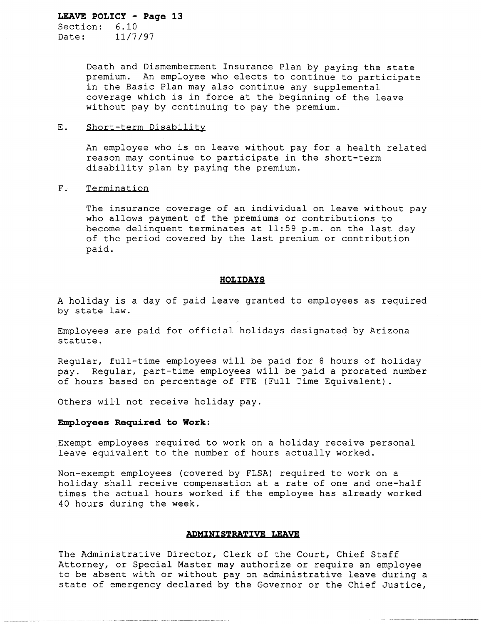Section: 6.10 Date: 11/7/97

> Death and Dismemberment Insurance Plan by paying the state premium. An employee who elects to continue to participate in the Basic Plan may also continue any supplemental coverage which is in force at the beginning of the leave without pay by continuing to pay the premium.

#### E. Short-term Disability

An employee who is on leave without pay for a health related reason may continue to participate in the short-term disability plan by paying the premium.

## F. Termination

The insurance coverage of an individual on leave without pay who allows payment of the premiums or contributions to become delinquent terminates at 11:59 p.m. on the last day of the period covered by the last premium or contribution paid.

### **HOLIDAYS**

A holiday is a day of paid leave granted to employees as required by state law.

Employees are paid for official holidays designated by Arizona statute.

Regular, full-time employees will be paid for 8 hours of holiday pay. Regular, part-time employees will be paid a prorated number of hours based on percentage of FTE (Full Time Equivalent) .

Others will not receive holiday pay.

#### **Emp10yees Required to Work:**

Exempt employees required to work on a holiday receive personal leave equivalent to the number of hours actually worked.

Non-exempt employees (covered by FLSA) required to work on a holiday shall receive compensation at a rate of one and one-half times the actual hours worked if the employee has already worked 40 hours during the week.

## **ADMINISTRATIVE LEAVE**

The Administrative Director, Clerk of the Court, Chief Staff Attorney, or Special Master may authorize or require an employee to be absent with or without pay on administrative leave during a state of emergency declared by the Governor or the Chief Justice,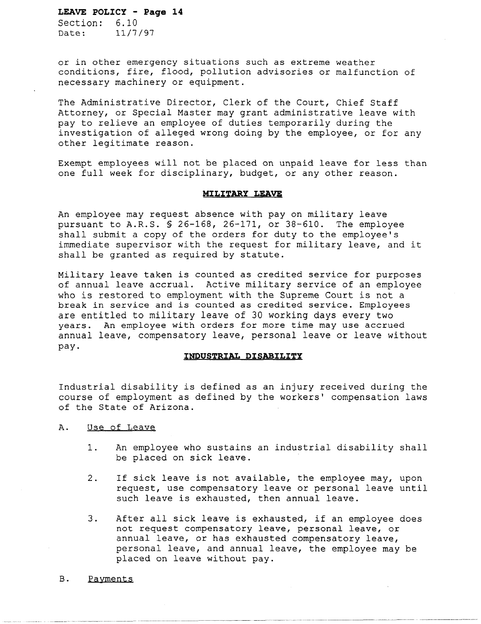Section: 6.10 Date: 11/7/97

or in other emergency situations such as extreme weather conditions, fire, flood, pollution advisories or malfunction of necessary machinery or equipment.

The Administrative Director, Clerk of the Court, Chief Staff Attorney, or Special Master may grant administrative leave with pay to relieve an employee of duties temporarily during the investigation of alleged wrong doing by the employee, or for any other legitimate reason.

Exempt employees will not be placed on unpaid leave for less than one full week for disciplinary, budget, or any other reason.

### **MILITARY LEAVE**

An employee may request absence with pay on military leave pursuant to A.R.S. § 26-168, 26-171, or 38-610. The employee shall submit a copy of the orders for duty to the employee's immediate supervisor with the request for military leave, and it shall be granted as required by statute.

Military leave taken is counted as credited service for purposes of annual leave accrual. Active military service of an employee who is restored to employment with the Supreme Court is not a break in service and is counted as credited service. Employees are entitled to military leave of 30 working days every two years. An employee with orders for more time may use accrued annual leave, compensatory leave, personal leave or leave without pay.

### INDUSTRIAL DISABILITY

Industrial disability is defined as an injury received during the course of employment as defined by the workers' compensation laws of the State of Arizona.

- A. Use of Leave
	- 1. An employee who sustains an industrial disability shall be placed on sick leave.
	- 2. If sick leave is not available, the employee may, upon request, use compensatory leave or personal leave until such leave is exhausted, then annual leave.
	- 3. After all sick leave is exhausted, if an employee does not request compensatory leave, personal leave, or annual leave, or has exhausted compensatory leave, personal leave, and annual leave, the employee may be placed on leave without pay.
- B. Payments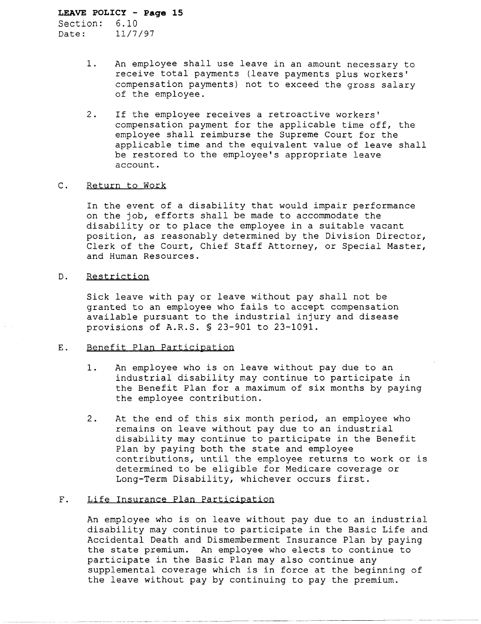Section: 6.10 Date: 11/7/97

- 1. An employee shall use leave in an amount necessary to receive total payments (leave payments plus workers' compensation payments) not to exceed the gross salary of the employee.
- 2. If the employee receives a retroactive workers' compensation payment for the applicable time off, the employee shall reimburse the Supreme Court for the applicable time and the equivalent value of leave shall be restored to the employee's appropriate leave account.

### C. Return to Work

In the event of a disability that would impair performance on the job, efforts shall be made to accommodate the disability or to place the employee in a suitable vacant position, as reasonably determined by the Division Director, Clerk of the Court, Chief Staff Attorney, or Special Master, and Human Resources.

## D. Restriction

Sick leave with payor leave without pay shall not be granted to an employee who fails to accept compensation available pursuant to the industrial injury and disease provisions of A.R.S. § 23-901 to 23-1091.

## E. Benefit Plan Participation

- 1. An employee who is on leave without pay due to an industrial disability may continue to participate in the Benefit Plan for a maximum of six months by paying the employee contribution.
- 2. At the end of this six month period, an employee who remains on leave without pay due to an industrial disability may continue to participate in the Benefit Plan by paying both the state and employee contributions, until the employee returns to work or is determined to be eligible for Medicare coverage or Long-Term Disability, whichever occurs first.

## F. Life Insurance Plan Participation

An employee who is on leave without pay due to an industrial disability may continue to participate in the Basic Life and Accidental Death and Dismemberment Insurance Plan by paying the state premium. An employee who elects to continue to participate in the Basic Plan may also continue any supplemental coverage which is in force at the beginning of the leave without pay by continuing to pay the premium.